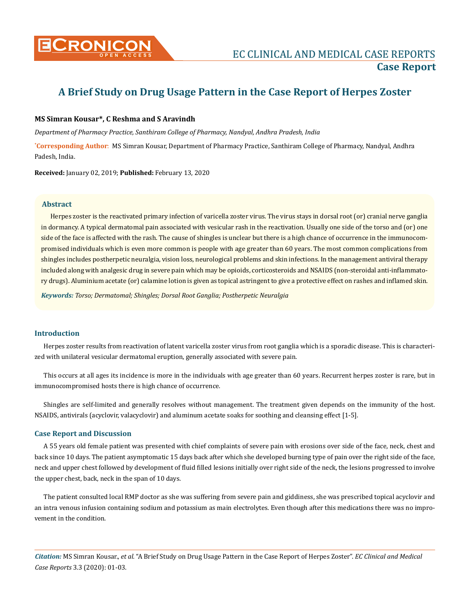

# **A Brief Study on Drug Usage Pattern in the Case Report of Herpes Zoster**

#### **MS Simran Kousar\*, C Reshma and S Aravindh**

*Department of Pharmacy Practice, Santhiram College of Pharmacy, Nandyal, Andhra Pradesh, India*

**\* Corresponding Author**: MS Simran Kousar, Department of Pharmacy Practice, Santhiram College of Pharmacy, Nandyal, Andhra Padesh, India.

**Received:** January 02, 2019; **Published:** February 13, 2020

#### **Abstract**

Herpes zoster is the reactivated primary infection of varicella zoster virus. The virus stays in dorsal root (or) cranial nerve ganglia in dormancy. A typical dermatomal pain associated with vesicular rash in the reactivation. Usually one side of the torso and (or) one side of the face is affected with the rash. The cause of shingles is unclear but there is a high chance of occurrence in the immunocompromised individuals which is even more common is people with age greater than 60 years. The most common complications from shingles includes postherpetic neuralgia, vision loss, neurological problems and skin infections. In the management antiviral therapy included along with analgesic drug in severe pain which may be opioids, corticosteroids and NSAIDS (non-steroidal anti-inflammatory drugs). Aluminium acetate (or) calamine lotion is given as topical astringent to give a protective effect on rashes and inflamed skin.

*Keywords: Torso; Dermatomal; Shingles; Dorsal Root Ganglia; Postherpetic Neuralgia*

### **Introduction**

Herpes zoster results from reactivation of latent varicella zoster virus from root ganglia which is a sporadic disease. This is characterized with unilateral vesicular dermatomal eruption, generally associated with severe pain.

This occurs at all ages its incidence is more in the individuals with age greater than 60 years. Recurrent herpes zoster is rare, but in immunocompromised hosts there is high chance of occurrence.

Shingles are self-limited and generally resolves without management. The treatment given depends on the immunity of the host. NSAIDS, antivirals (acyclovir, valacyclovir) and aluminum acetate soaks for soothing and cleansing effect [1-5].

#### **Case Report and Discussion**

A 55 years old female patient was presented with chief complaints of severe pain with erosions over side of the face, neck, chest and back since 10 days. The patient asymptomatic 15 days back after which she developed burning type of pain over the right side of the face, neck and upper chest followed by development of fluid filled lesions initially over right side of the neck, the lesions progressed to involve the upper chest, back, neck in the span of 10 days.

The patient consulted local RMP doctor as she was suffering from severe pain and giddiness, she was prescribed topical acyclovir and an intra venous infusion containing sodium and potassium as main electrolytes. Even though after this medications there was no improvement in the condition.

*Citation:* MS Simran Kousar., *et al.* "A Brief Study on Drug Usage Pattern in the Case Report of Herpes Zoster". *EC Clinical and Medical Case Reports* 3.3 (2020): 01-03.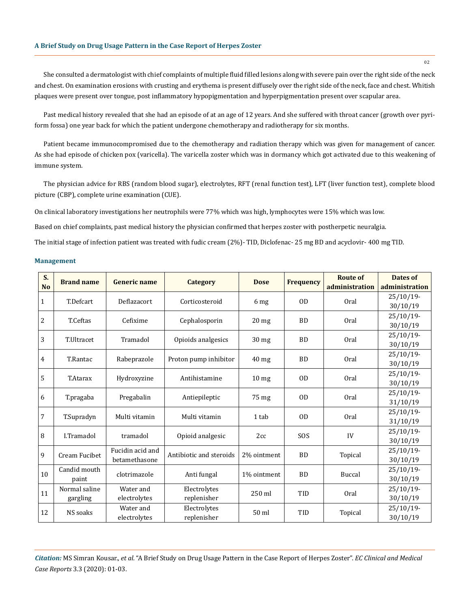She consulted a dermatologist with chief complaints of multiple fluid filled lesions along with severe pain over the right side of the neck and chest. On examination erosions with crusting and erythema is present diffusely over the right side of the neck, face and chest. Whitish plaques were present over tongue, post inflammatory hypopigmentation and hyperpigmentation present over scapular area.

Past medical history revealed that she had an episode of at an age of 12 years. And she suffered with throat cancer (growth over pyriform fossa) one year back for which the patient undergone chemotherapy and radiotherapy for six months.

Patient became immunocompromised due to the chemotherapy and radiation therapy which was given for management of cancer. As she had episode of chicken pox (varicella). The varicella zoster which was in dormancy which got activated due to this weakening of immune system.

The physician advice for RBS (random blood sugar), electrolytes, RFT (renal function test), LFT (liver function test), complete blood picture (CBP), complete urine examination (CUE).

On clinical laboratory investigations her neutrophils were 77% which was high, lymphocytes were 15% which was low.

Based on chief complaints, past medical history the physician confirmed that herpes zoster with postherpetic neuralgia.

The initial stage of infection patient was treated with fudic cream (2%)- TID, Diclofenac- 25 mg BD and acyclovir- 400 mg TID.

#### **Management**

| S.<br><b>No</b> | <b>Brand name</b>     | <b>Generic name</b>               | Category                    | <b>Dose</b>      | <b>Frequency</b> | <b>Route of</b> | <b>Dates of</b> |
|-----------------|-----------------------|-----------------------------------|-----------------------------|------------------|------------------|-----------------|-----------------|
|                 |                       |                                   |                             |                  |                  | administration  | administration  |
| $\mathbf{1}$    | T.Defcart             | Deflazacort                       | Corticosteroid              | 6 mg             | 0 <sub>D</sub>   | Oral            | $25/10/19$ -    |
|                 |                       |                                   |                             |                  |                  |                 | 30/10/19        |
| 2               | T.Ceftas              | Cefixime                          | Cephalosporin               | 20 <sub>mg</sub> | <b>BD</b>        | Oral            | $25/10/19$ -    |
|                 |                       |                                   |                             |                  |                  |                 | 30/10/19        |
| 3               | T.Ultracet            | Tramadol                          | Opioids analgesics          | $30$ mg          | <b>BD</b>        | Oral            | $25/10/19$ -    |
|                 |                       |                                   |                             |                  |                  |                 | 30/10/19        |
| 4               | T.Rantac              | Rabeprazole                       | Proton pump inhibitor       | $40$ mg          | <b>BD</b>        | Oral            | $25/10/19$ -    |
|                 |                       |                                   |                             |                  |                  |                 | 30/10/19        |
| 5               | T.Atarax              | Hydroxyzine                       | Antihistamine               | 10 <sub>mg</sub> | 0 <sub>D</sub>   | Oral            | $25/10/19$ -    |
|                 |                       |                                   |                             |                  |                  |                 | 30/10/19        |
| 6               | T.pragaba             | Pregabalin                        | Antiepileptic               | 75 mg            | 0 <sub>D</sub>   | Oral            | $25/10/19$ -    |
|                 |                       |                                   |                             |                  |                  |                 | 31/10/19        |
| $\overline{7}$  | T.Supradyn            | Multi vitamin                     | Multi vitamin               | 1 tab            | 0 <sub>D</sub>   | Oral            | $25/10/19$ -    |
|                 |                       |                                   |                             |                  |                  |                 | 31/10/19        |
| 8               | I.Tramadol            | tramadol                          | Opioid analgesic            | 2cc              | SOS              | IV              | $25/10/19$ -    |
|                 |                       |                                   |                             |                  |                  |                 | 30/10/19        |
| 9               | Cream Fucibet         | Fucidin acid and<br>betamethasone | Antibiotic and steroids     | 2% ointment      | <b>BD</b>        | Topical         | $25/10/19$ -    |
|                 |                       |                                   |                             |                  |                  |                 | 30/10/19        |
| 10              | Candid mouth<br>paint | clotrimazole                      | Anti fungal                 | 1% ointment      | <b>BD</b>        | Buccal          | $25/10/19$ -    |
|                 |                       |                                   |                             |                  |                  |                 | 30/10/19        |
| 11              | Normal saline         | Water and                         | Electrolytes                | 250 ml           | TID              | Oral            | $25/10/19$ -    |
|                 | gargling              | electrolytes                      | replenisher                 |                  |                  |                 | 30/10/19        |
| 12              | NS soaks              | Water and                         | Electrolytes<br>replenisher | 50 ml            | TID              | Topical         | $25/10/19$ -    |
|                 |                       | electrolytes                      |                             |                  |                  |                 | 30/10/19        |

*Citation:* MS Simran Kousar., *et al.* "A Brief Study on Drug Usage Pattern in the Case Report of Herpes Zoster". *EC Clinical and Medical Case Reports* 3.3 (2020): 01-03.

02